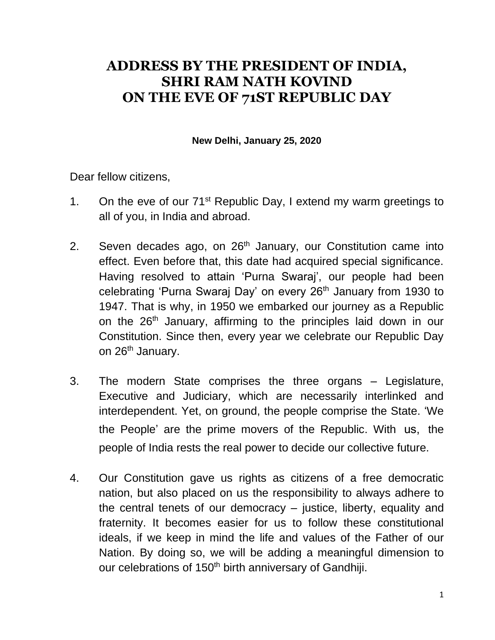## **ADDRESS BY THE PRESIDENT OF INDIA, SHRI RAM NATH KOVIND ON THE EVE OF 71ST REPUBLIC DAY**

**New Delhi, January 25, 2020**

Dear fellow citizens,

- 1. On the eve of our  $71^{st}$  Republic Day, I extend my warm greetings to all of you, in India and abroad.
- 2. Seven decades ago, on 26<sup>th</sup> January, our Constitution came into effect. Even before that, this date had acquired special significance. Having resolved to attain 'Purna Swaraj', our people had been celebrating 'Purna Swaraj Day' on every 26<sup>th</sup> January from 1930 to 1947. That is why, in 1950 we embarked our journey as a Republic on the 26<sup>th</sup> January, affirming to the principles laid down in our Constitution. Since then, every year we celebrate our Republic Day on 26<sup>th</sup> January.
- 3. The modern State comprises the three organs Legislature, Executive and Judiciary, which are necessarily interlinked and interdependent. Yet, on ground, the people comprise the State. 'We the People' are the prime movers of the Republic. With us, the people of India rests the real power to decide our collective future.
- 4. Our Constitution gave us rights as citizens of a free democratic nation, but also placed on us the responsibility to always adhere to the central tenets of our democracy – justice, liberty, equality and fraternity. It becomes easier for us to follow these constitutional ideals, if we keep in mind the life and values of the Father of our Nation. By doing so, we will be adding a meaningful dimension to our celebrations of 150<sup>th</sup> birth anniversary of Gandhiji.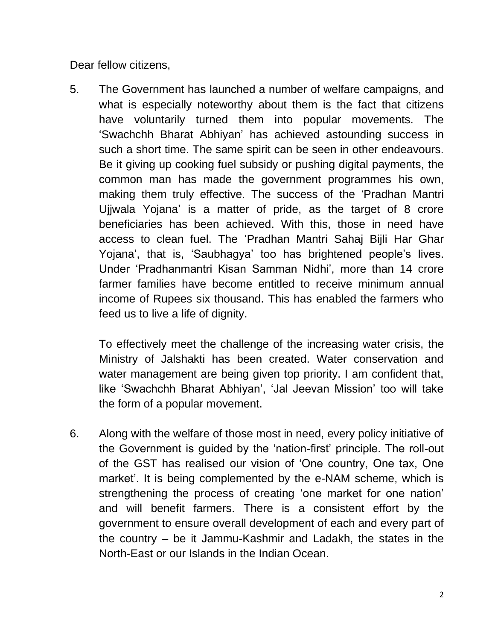Dear fellow citizens,

5. The Government has launched a number of welfare campaigns, and what is especially noteworthy about them is the fact that citizens have voluntarily turned them into popular movements. The 'Swachchh Bharat Abhiyan' has achieved astounding success in such a short time. The same spirit can be seen in other endeavours. Be it giving up cooking fuel subsidy or pushing digital payments, the common man has made the government programmes his own, making them truly effective. The success of the 'Pradhan Mantri Ujjwala Yojana' is a matter of pride, as the target of 8 crore beneficiaries has been achieved. With this, those in need have access to clean fuel. The 'Pradhan Mantri Sahaj Bijli Har Ghar Yojana', that is, 'Saubhagya' too has brightened people's lives. Under 'Pradhanmantri Kisan Samman Nidhi', more than 14 crore farmer families have become entitled to receive minimum annual income of Rupees six thousand. This has enabled the farmers who feed us to live a life of dignity.

To effectively meet the challenge of the increasing water crisis, the Ministry of Jalshakti has been created. Water conservation and water management are being given top priority. I am confident that, like 'Swachchh Bharat Abhiyan', 'Jal Jeevan Mission' too will take the form of a popular movement.

6. Along with the welfare of those most in need, every policy initiative of the Government is guided by the 'nation-first' principle. The roll-out of the GST has realised our vision of 'One country, One tax, One market'. It is being complemented by the e-NAM scheme, which is strengthening the process of creating 'one market for one nation' and will benefit farmers. There is a consistent effort by the government to ensure overall development of each and every part of the country – be it Jammu-Kashmir and Ladakh, the states in the North-East or our Islands in the Indian Ocean.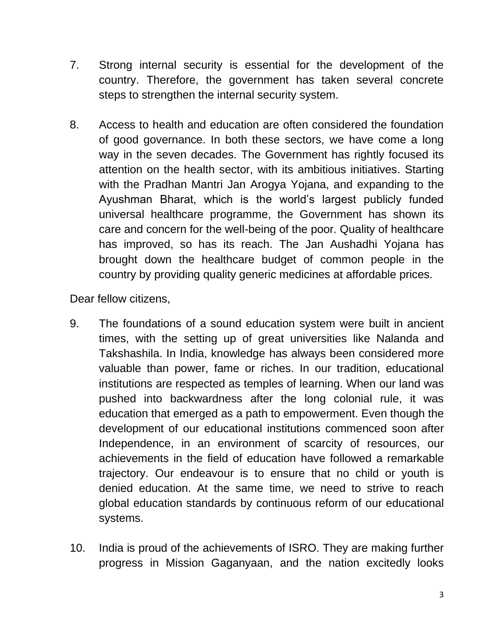- 7. Strong internal security is essential for the development of the country. Therefore, the government has taken several concrete steps to strengthen the internal security system.
- 8. Access to health and education are often considered the foundation of good governance. In both these sectors, we have come a long way in the seven decades. The Government has rightly focused its attention on the health sector, with its ambitious initiatives. Starting with the Pradhan Mantri Jan Arogya Yojana, and expanding to the Ayushman Bharat, which is the world's largest publicly funded universal healthcare programme, the Government has shown its care and concern for the well-being of the poor. Quality of healthcare has improved, so has its reach. The Jan Aushadhi Yojana has brought down the healthcare budget of common people in the country by providing quality generic medicines at affordable prices.

Dear fellow citizens,

- 9. The foundations of a sound education system were built in ancient times, with the setting up of great universities like Nalanda and Takshashila. In India, knowledge has always been considered more valuable than power, fame or riches. In our tradition, educational institutions are respected as temples of learning. When our land was pushed into backwardness after the long colonial rule, it was education that emerged as a path to empowerment. Even though the development of our educational institutions commenced soon after Independence, in an environment of scarcity of resources, our achievements in the field of education have followed a remarkable trajectory. Our endeavour is to ensure that no child or youth is denied education. At the same time, we need to strive to reach global education standards by continuous reform of our educational systems.
- 10. India is proud of the achievements of ISRO. They are making further progress in Mission Gaganyaan, and the nation excitedly looks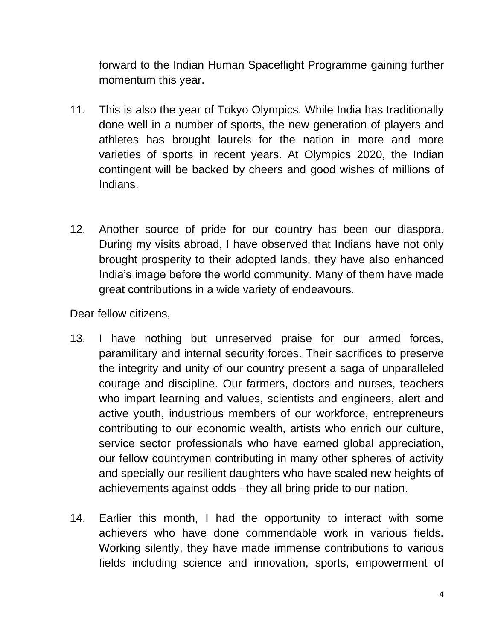forward to the Indian Human Spaceflight Programme gaining further momentum this year.

- 11. This is also the year of Tokyo Olympics. While India has traditionally done well in a number of sports, the new generation of players and athletes has brought laurels for the nation in more and more varieties of sports in recent years. At Olympics 2020, the Indian contingent will be backed by cheers and good wishes of millions of Indians.
- 12. Another source of pride for our country has been our diaspora. During my visits abroad, I have observed that Indians have not only brought prosperity to their adopted lands, they have also enhanced India's image before the world community. Many of them have made great contributions in a wide variety of endeavours.

Dear fellow citizens,

- 13. I have nothing but unreserved praise for our armed forces, paramilitary and internal security forces. Their sacrifices to preserve the integrity and unity of our country present a saga of unparalleled courage and discipline. Our farmers, doctors and nurses, teachers who impart learning and values, scientists and engineers, alert and active youth, industrious members of our workforce, entrepreneurs contributing to our economic wealth, artists who enrich our culture, service sector professionals who have earned global appreciation, our fellow countrymen contributing in many other spheres of activity and specially our resilient daughters who have scaled new heights of achievements against odds - they all bring pride to our nation.
- 14. Earlier this month, I had the opportunity to interact with some achievers who have done commendable work in various fields. Working silently, they have made immense contributions to various fields including science and innovation, sports, empowerment of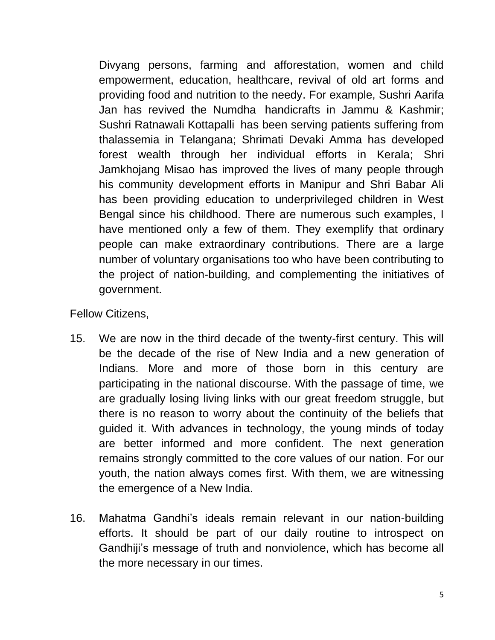Divyang persons, farming and afforestation, women and child empowerment, education, healthcare, revival of old art forms and providing food and nutrition to the needy. For example, Sushri Aarifa Jan has revived the Numdha handicrafts in Jammu & Kashmir; Sushri Ratnawali Kottapalli has been serving patients suffering from thalassemia in Telangana; Shrimati Devaki Amma has developed forest wealth through her individual efforts in Kerala; Shri Jamkhojang Misao has improved the lives of many people through his community development efforts in Manipur and Shri Babar Ali has been providing education to underprivileged children in West Bengal since his childhood. There are numerous such examples, I have mentioned only a few of them. They exemplify that ordinary people can make extraordinary contributions. There are a large number of voluntary organisations too who have been contributing to the project of nation-building, and complementing the initiatives of government.

Fellow Citizens,

- 15. We are now in the third decade of the twenty-first century. This will be the decade of the rise of New India and a new generation of Indians. More and more of those born in this century are participating in the national discourse. With the passage of time, we are gradually losing living links with our great freedom struggle, but there is no reason to worry about the continuity of the beliefs that guided it. With advances in technology, the young minds of today are better informed and more confident. The next generation remains strongly committed to the core values of our nation. For our youth, the nation always comes first. With them, we are witnessing the emergence of a New India.
- 16. Mahatma Gandhi's ideals remain relevant in our nation-building efforts. It should be part of our daily routine to introspect on Gandhiji's message of truth and nonviolence, which has become all the more necessary in our times.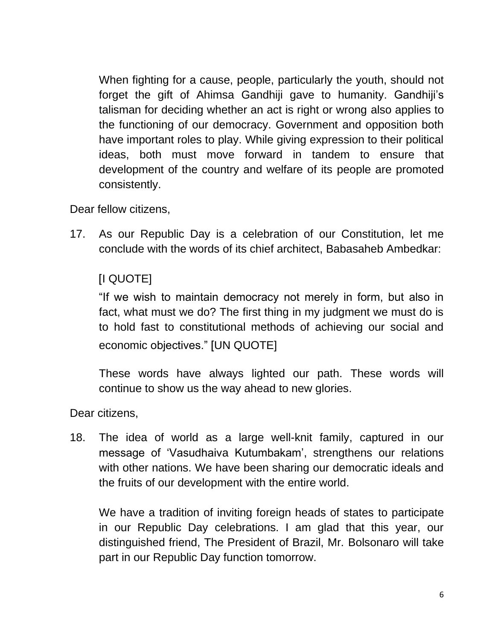When fighting for a cause, people, particularly the youth, should not forget the gift of Ahimsa Gandhiji gave to humanity. Gandhiji's talisman for deciding whether an act is right or wrong also applies to the functioning of our democracy. Government and opposition both have important roles to play. While giving expression to their political ideas, both must move forward in tandem to ensure that development of the country and welfare of its people are promoted consistently.

Dear fellow citizens,

17. As our Republic Day is a celebration of our Constitution, let me conclude with the words of its chief architect, Babasaheb Ambedkar:

## [I QUOTE]

"If we wish to maintain democracy not merely in form, but also in fact, what must we do? The first thing in my judgment we must do is to hold fast to constitutional methods of achieving our social and economic objectives." [UN QUOTE]

These words have always lighted our path. These words will continue to show us the way ahead to new glories.

Dear citizens,

18. The idea of world as a large well-knit family, captured in our message of 'Vasudhaiva Kutumbakam', strengthens our relations with other nations. We have been sharing our democratic ideals and the fruits of our development with the entire world.

We have a tradition of inviting foreign heads of states to participate in our Republic Day celebrations. I am glad that this year, our distinguished friend, The President of Brazil, Mr. Bolsonaro will take part in our Republic Day function tomorrow.